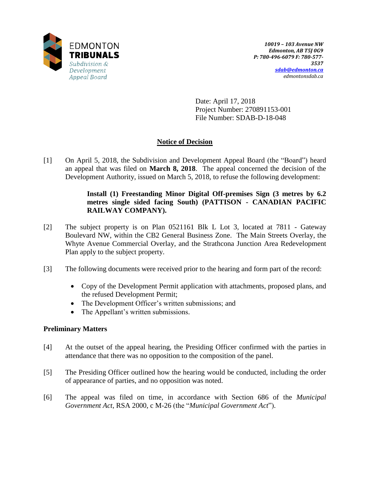

Date: April 17, 2018 Project Number: 270891153-001 File Number: SDAB-D-18-048

# **Notice of Decision**

[1] On April 5, 2018, the Subdivision and Development Appeal Board (the "Board") heard an appeal that was filed on **March 8, 2018**. The appeal concerned the decision of the Development Authority, issued on March 5, 2018, to refuse the following development:

# **Install (1) Freestanding Minor Digital Off-premises Sign (3 metres by 6.2 metres single sided facing South) (PATTISON - CANADIAN PACIFIC RAILWAY COMPANY).**

- [2] The subject property is on Plan 0521161 Blk L Lot 3, located at 7811 Gateway Boulevard NW, within the CB2 General Business Zone. The Main Streets Overlay, the Whyte Avenue Commercial Overlay, and the Strathcona Junction Area Redevelopment Plan apply to the subject property.
- [3] The following documents were received prior to the hearing and form part of the record:
	- Copy of the Development Permit application with attachments, proposed plans, and the refused Development Permit;
	- The Development Officer's written submissions; and
	- The Appellant's written submissions.

# **Preliminary Matters**

- [4] At the outset of the appeal hearing, the Presiding Officer confirmed with the parties in attendance that there was no opposition to the composition of the panel.
- [5] The Presiding Officer outlined how the hearing would be conducted, including the order of appearance of parties, and no opposition was noted.
- [6] The appeal was filed on time, in accordance with Section 686 of the *Municipal Government Act*, RSA 2000, c M-26 (the "*Municipal Government Act*").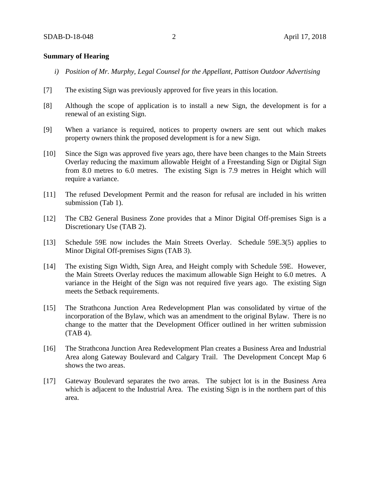#### **Summary of Hearing**

- *i) Position of Mr. Murphy, Legal Counsel for the Appellant, Pattison Outdoor Advertising*
- [7] The existing Sign was previously approved for five years in this location.
- [8] Although the scope of application is to install a new Sign, the development is for a renewal of an existing Sign.
- [9] When a variance is required, notices to property owners are sent out which makes property owners think the proposed development is for a new Sign.
- [10] Since the Sign was approved five years ago, there have been changes to the Main Streets Overlay reducing the maximum allowable Height of a Freestanding Sign or Digital Sign from 8.0 metres to 6.0 metres. The existing Sign is 7.9 metres in Height which will require a variance.
- [11] The refused Development Permit and the reason for refusal are included in his written submission (Tab 1).
- [12] The CB2 General Business Zone provides that a Minor Digital Off-premises Sign is a Discretionary Use (TAB 2).
- [13] Schedule 59E now includes the Main Streets Overlay. Schedule 59E.3(5) applies to Minor Digital Off-premises Signs (TAB 3).
- [14] The existing Sign Width, Sign Area, and Height comply with Schedule 59E. However, the Main Streets Overlay reduces the maximum allowable Sign Height to 6.0 metres. A variance in the Height of the Sign was not required five years ago. The existing Sign meets the Setback requirements.
- [15] The Strathcona Junction Area Redevelopment Plan was consolidated by virtue of the incorporation of the Bylaw, which was an amendment to the original Bylaw. There is no change to the matter that the Development Officer outlined in her written submission (TAB 4).
- [16] The Strathcona Junction Area Redevelopment Plan creates a Business Area and Industrial Area along Gateway Boulevard and Calgary Trail. The Development Concept Map 6 shows the two areas.
- [17] Gateway Boulevard separates the two areas. The subject lot is in the Business Area which is adjacent to the Industrial Area. The existing Sign is in the northern part of this area.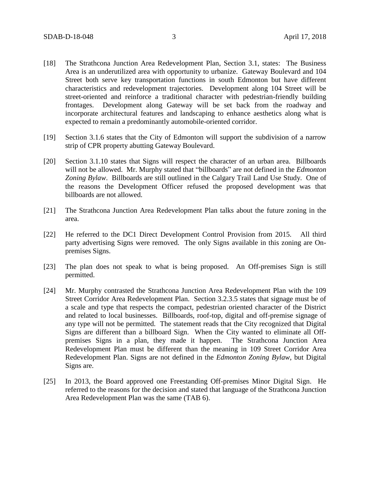- [18] The Strathcona Junction Area Redevelopment Plan, Section 3.1, states: The Business Area is an underutilized area with opportunity to urbanize. Gateway Boulevard and 104 Street both serve key transportation functions in south Edmonton but have different characteristics and redevelopment trajectories. Development along 104 Street will be street-oriented and reinforce a traditional character with pedestrian-friendly building frontages. Development along Gateway will be set back from the roadway and incorporate architectural features and landscaping to enhance aesthetics along what is expected to remain a predominantly automobile-oriented corridor.
- [19] Section 3.1.6 states that the City of Edmonton will support the subdivision of a narrow strip of CPR property abutting Gateway Boulevard.
- [20] Section 3.1.10 states that Signs will respect the character of an urban area. Billboards will not be allowed. Mr. Murphy stated that "billboards" are not defined in the *Edmonton Zoning Bylaw*. Billboards are still outlined in the Calgary Trail Land Use Study. One of the reasons the Development Officer refused the proposed development was that billboards are not allowed.
- [21] The Strathcona Junction Area Redevelopment Plan talks about the future zoning in the area.
- [22] He referred to the DC1 Direct Development Control Provision from 2015. All third party advertising Signs were removed. The only Signs available in this zoning are Onpremises Signs.
- [23] The plan does not speak to what is being proposed. An Off-premises Sign is still permitted.
- [24] Mr. Murphy contrasted the Strathcona Junction Area Redevelopment Plan with the 109 Street Corridor Area Redevelopment Plan. Section 3.2.3.5 states that signage must be of a scale and type that respects the compact, pedestrian oriented character of the District and related to local businesses. Billboards, roof-top, digital and off-premise signage of any type will not be permitted. The statement reads that the City recognized that Digital Signs are different than a billboard Sign. When the City wanted to eliminate all Offpremises Signs in a plan, they made it happen. The Strathcona Junction Area Redevelopment Plan must be different than the meaning in 109 Street Corridor Area Redevelopment Plan. Signs are not defined in the *Edmonton Zoning Bylaw*, but Digital Signs are.
- [25] In 2013, the Board approved one Freestanding Off-premises Minor Digital Sign. He referred to the reasons for the decision and stated that language of the Strathcona Junction Area Redevelopment Plan was the same (TAB 6).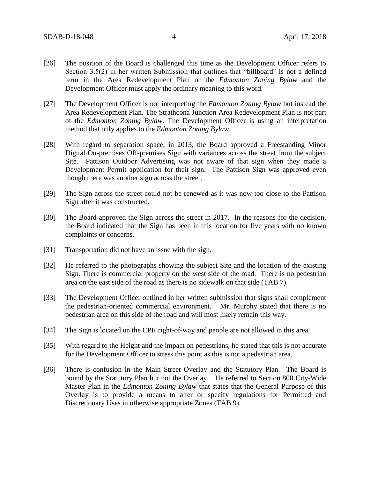- [26] The position of the Board is challenged this time as the Development Officer refers to Section 3.5(2) in her written Submission that outlines that "billboard" is not a defined term in the Area Redevelopment Plan or the *Edmonton Zoning Bylaw* and the Development Officer must apply the ordinary meaning to this word.
- [27] The Development Officer is not interpreting the *Edmonton Zoning Bylaw* but instead the Area Redevelopment Plan. The Strathcona Junction Area Redevelopment Plan is not part of the *Edmonton Zoning Bylaw*. The Development Officer is using an interpretation method that only applies to the *Edmonton Zoning Bylaw*.
- [28] With regard to separation space, in 2013, the Board approved a Freestanding Minor Digital On-premises Off-premises Sign with variances across the street from the subject Site. Pattison Outdoor Advertising was not aware of that sign when they made a Development Permit application for their sign. The Pattison Sign was approved even though there was another sign across the street.
- [29] The Sign across the street could not be renewed as it was now too close to the Pattison Sign after it was constructed.
- [30] The Board approved the Sign across the street in 2017. In the reasons for the decision, the Board indicated that the Sign has been in this location for five years with no known complaints or concerns.
- [31] Transportation did not have an issue with the sign.
- [32] He referred to the photographs showing the subject Site and the location of the existing Sign. There is commercial property on the west side of the road. There is no pedestrian area on the east side of the road as there is no sidewalk on that side (TAB 7).
- [33] The Development Officer outlined in her written submission that signs shall complement the pedestrian-oriented commercial environment. Mr. Murphy stated that there is no pedestrian area on this side of the road and will most likely remain this way.
- [34] The Sign is located on the CPR right-of-way and people are not allowed in this area.
- [35] With regard to the Height and the impact on pedestrians, he stated that this is not accurate for the Development Officer to stress this point as this is not a pedestrian area.
- [36] There is confusion in the Main Street Overlay and the Statutory Plan. The Board is bound by the Statutory Plan but not the Overlay. He referred to Section 800 City-Wide Master Plan in the *Edmonton Zoning Bylaw* that states that the General Purpose of this Overlay is to provide a means to alter or specify regulations for Permitted and Discretionary Uses in otherwise appropriate Zones (TAB 9).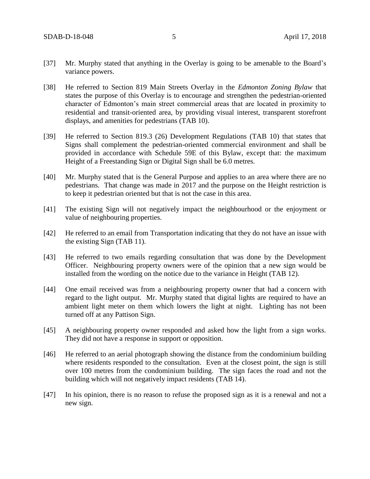- [37] Mr. Murphy stated that anything in the Overlay is going to be amenable to the Board's variance powers.
- [38] He referred to Section 819 Main Streets Overlay in the *Edmonton Zoning Bylaw* that states the purpose of this Overlay is to encourage and strengthen the pedestrian-oriented character of Edmonton's main street commercial areas that are located in proximity to residential and transit-oriented area, by providing visual interest, transparent storefront displays, and amenities for pedestrians (TAB 10).
- [39] He referred to Section 819.3 (26) Development Regulations (TAB 10) that states that Signs shall complement the pedestrian-oriented commercial environment and shall be provided in accordance with Schedule 59E of this Bylaw, except that: the maximum Height of a Freestanding Sign or Digital Sign shall be 6.0 metres.
- [40] Mr. Murphy stated that is the General Purpose and applies to an area where there are no pedestrians. That change was made in 2017 and the purpose on the Height restriction is to keep it pedestrian oriented but that is not the case in this area.
- [41] The existing Sign will not negatively impact the neighbourhood or the enjoyment or value of neighbouring properties.
- [42] He referred to an email from Transportation indicating that they do not have an issue with the existing Sign (TAB 11).
- [43] He referred to two emails regarding consultation that was done by the Development Officer. Neighbouring property owners were of the opinion that a new sign would be installed from the wording on the notice due to the variance in Height (TAB 12).
- [44] One email received was from a neighbouring property owner that had a concern with regard to the light output. Mr. Murphy stated that digital lights are required to have an ambient light meter on them which lowers the light at night. Lighting has not been turned off at any Pattison Sign.
- [45] A neighbouring property owner responded and asked how the light from a sign works. They did not have a response in support or opposition.
- [46] He referred to an aerial photograph showing the distance from the condominium building where residents responded to the consultation. Even at the closest point, the sign is still over 100 metres from the condominium building. The sign faces the road and not the building which will not negatively impact residents (TAB 14).
- [47] In his opinion, there is no reason to refuse the proposed sign as it is a renewal and not a new sign.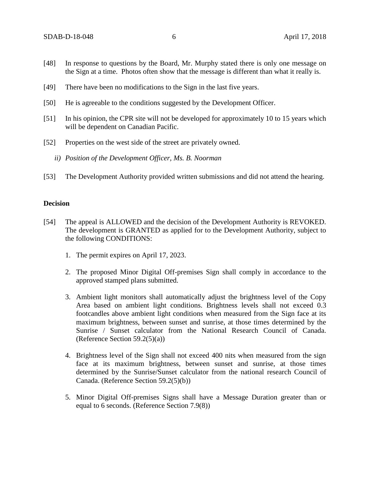- [48] In response to questions by the Board, Mr. Murphy stated there is only one message on the Sign at a time. Photos often show that the message is different than what it really is.
- [49] There have been no modifications to the Sign in the last five years.
- [50] He is agreeable to the conditions suggested by the Development Officer.
- [51] In his opinion, the CPR site will not be developed for approximately 10 to 15 years which will be dependent on Canadian Pacific.
- [52] Properties on the west side of the street are privately owned.
	- *ii) Position of the Development Officer, Ms. B. Noorman*
- [53] The Development Authority provided written submissions and did not attend the hearing.

### **Decision**

- [54] The appeal is ALLOWED and the decision of the Development Authority is REVOKED. The development is GRANTED as applied for to the Development Authority, subject to the following CONDITIONS:
	- 1. The permit expires on April 17, 2023.
	- 2. The proposed Minor Digital Off-premises Sign shall comply in accordance to the approved stamped plans submitted.
	- 3. Ambient light monitors shall automatically adjust the brightness level of the Copy Area based on ambient light conditions. Brightness levels shall not exceed 0.3 footcandles above ambient light conditions when measured from the Sign face at its maximum brightness, between sunset and sunrise, at those times determined by the Sunrise / Sunset calculator from the National Research Council of Canada. (Reference Section  $59.2(5)(a)$ )
	- 4. Brightness level of the Sign shall not exceed 400 nits when measured from the sign face at its maximum brightness, between sunset and sunrise, at those times determined by the Sunrise/Sunset calculator from the national research Council of Canada. (Reference Section 59.2(5)(b))
	- 5. Minor Digital Off-premises Signs shall have a Message Duration greater than or equal to 6 seconds. (Reference Section 7.9(8))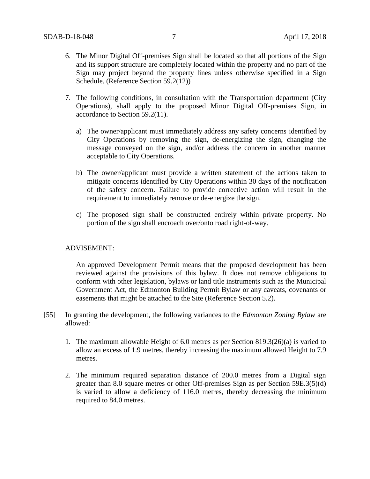- 6. The Minor Digital Off-premises Sign shall be located so that all portions of the Sign and its support structure are completely located within the property and no part of the Sign may project beyond the property lines unless otherwise specified in a Sign Schedule. (Reference Section 59.2(12))
- 7. The following conditions, in consultation with the Transportation department (City Operations), shall apply to the proposed Minor Digital Off-premises Sign, in accordance to Section 59.2(11).
	- a) The owner/applicant must immediately address any safety concerns identified by City Operations by removing the sign, de-energizing the sign, changing the message conveyed on the sign, and/or address the concern in another manner acceptable to City Operations.
	- b) The owner/applicant must provide a written statement of the actions taken to mitigate concerns identified by City Operations within 30 days of the notification of the safety concern. Failure to provide corrective action will result in the requirement to immediately remove or de-energize the sign.
	- c) The proposed sign shall be constructed entirely within private property. No portion of the sign shall encroach over/onto road right-of-way.

## ADVISEMENT:

An approved Development Permit means that the proposed development has been reviewed against the provisions of this bylaw. It does not remove obligations to conform with other legislation, bylaws or land title instruments such as the Municipal Government Act, the Edmonton Building Permit Bylaw or any caveats, covenants or easements that might be attached to the Site (Reference Section 5.2).

- [55] In granting the development, the following variances to the *Edmonton Zoning Bylaw* are allowed:
	- 1. The maximum allowable Height of 6.0 metres as per Section 819.3(26)(a) is varied to allow an excess of 1.9 metres, thereby increasing the maximum allowed Height to 7.9 metres.
	- 2. The minimum required separation distance of 200.0 metres from a Digital sign greater than 8.0 square metres or other Off-premises Sign as per Section 59E.3(5)(d) is varied to allow a deficiency of 116.0 metres, thereby decreasing the minimum required to 84.0 metres.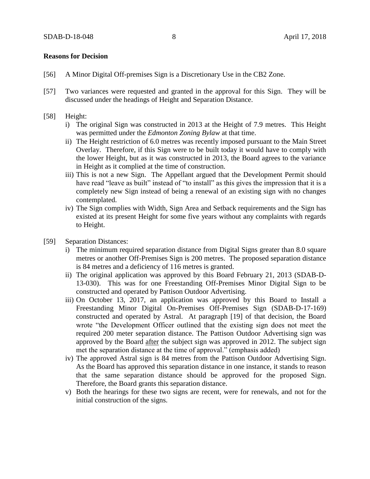#### **Reasons for Decision**

- [56] A Minor Digital Off-premises Sign is a Discretionary Use in the CB2 Zone.
- [57] Two variances were requested and granted in the approval for this Sign. They will be discussed under the headings of Height and Separation Distance.

#### [58] Height:

- i) The original Sign was constructed in 2013 at the Height of 7.9 metres. This Height was permitted under the *Edmonton Zoning Bylaw* at that time.
- ii) The Height restriction of 6.0 metres was recently imposed pursuant to the Main Street Overlay. Therefore, if this Sign were to be built today it would have to comply with the lower Height, but as it was constructed in 2013, the Board agrees to the variance in Height as it complied at the time of construction.
- iii) This is not a new Sign. The Appellant argued that the Development Permit should have read "leave as built" instead of "to install" as this gives the impression that it is a completely new Sign instead of being a renewal of an existing sign with no changes contemplated.
- iv) The Sign complies with Width, Sign Area and Setback requirements and the Sign has existed at its present Height for some five years without any complaints with regards to Height.
- [59] Separation Distances:
	- i) The minimum required separation distance from Digital Signs greater than 8.0 square metres or another Off-Premises Sign is 200 metres. The proposed separation distance is 84 metres and a deficiency of 116 metres is granted.
	- ii) The original application was approved by this Board February 21, 2013 (SDAB-D-13-030). This was for one Freestanding Off-Premises Minor Digital Sign to be constructed and operated by Pattison Outdoor Advertising.
	- iii) On October 13, 2017, an application was approved by this Board to Install a Freestanding Minor Digital On-Premises Off-Premises Sign (SDAB-D-17-169) constructed and operated by Astral. At paragraph [19] of that decision, the Board wrote "the Development Officer outlined that the existing sign does not meet the required 200 meter separation distance. The Pattison Outdoor Advertising sign was approved by the Board after the subject sign was approved in 2012. The subject sign met the separation distance at the time of approval." (emphasis added)
	- iv) The approved Astral sign is 84 metres from the Pattison Outdoor Advertising Sign. As the Board has approved this separation distance in one instance, it stands to reason that the same separation distance should be approved for the proposed Sign. Therefore, the Board grants this separation distance.
	- v) Both the hearings for these two signs are recent, were for renewals, and not for the initial construction of the signs.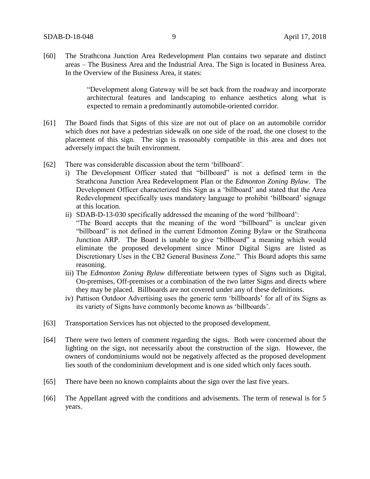[60] The Strathcona Junction Area Redevelopment Plan contains two separate and distinct areas – The Business Area and the Industrial Area. The Sign is located in Business Area. In the Overview of the Business Area, it states:

> "Development along Gateway will be set back from the roadway and incorporate architectural features and landscaping to enhance aesthetics along what is expected to remain a predominantly automobile-oriented corridor.

- [61] The Board finds that Signs of this size are not out of place on an automobile corridor which does not have a pedestrian sidewalk on one side of the road, the one closest to the placement of this sign. The sign is reasonably compatible in this area and does not adversely impact the built environment.
- [62] There was considerable discussion about the term 'billboard'.
	- i) The Development Officer stated that "billboard" is not a defined term in the Strathcona Junction Area Redevelopment Plan or the *Edmonton Zoning Bylaw*. The Development Officer characterized this Sign as a 'billboard' and stated that the Area Redevelopment specifically uses mandatory language to prohibit 'billboard' signage at this location.
	- ii) SDAB-D-13-030 specifically addressed the meaning of the word 'billboard': "The Board accepts that the meaning of the word "billboard" is unclear given "billboard" is not defined in the current Edmonton Zoning Bylaw or the Strathcona Junction ARP. The Board is unable to give "billboard" a meaning which would eliminate the proposed development since Minor Digital Signs are listed as Discretionary Uses in the CB2 General Business Zone." This Board adopts this same
	- reasoning. iii) The *Edmonton Zoning Bylaw* differentiate between types of Signs such as Digital, On-premises, Off-premises or a combination of the two latter Signs and directs where they may be placed. Billboards are not covered under any of these definitions.
	- iv) Pattison Outdoor Advertising uses the generic term 'billboards' for all of its Signs as its variety of Signs have commonly become known as 'billboards'.
- [63] Transportation Services has not objected to the proposed development.
- [64] There were two letters of comment regarding the signs. Both were concerned about the lighting on the sign, not necessarily about the construction of the sign. However, the owners of condominiums would not be negatively affected as the proposed development lies south of the condominium development and is one sided which only faces south.
- [65] There have been no known complaints about the sign over the last five years.
- [66] The Appellant agreed with the conditions and advisements. The term of renewal is for 5 years.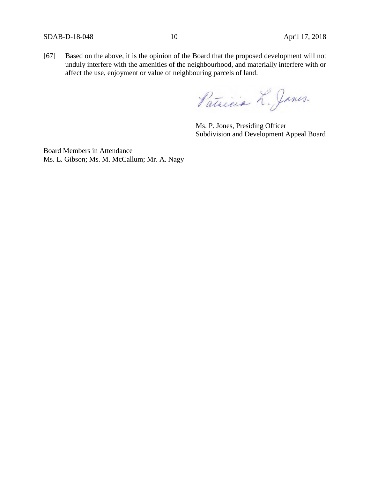[67] Based on the above, it is the opinion of the Board that the proposed development will not unduly interfere with the amenities of the neighbourhood, and materially interfere with or affect the use, enjoyment or value of neighbouring parcels of land.

Patricia L. Janes.

Ms. P. Jones, Presiding Officer Subdivision and Development Appeal Board

Board Members in Attendance Ms. L. Gibson; Ms. M. McCallum; Mr. A. Nagy